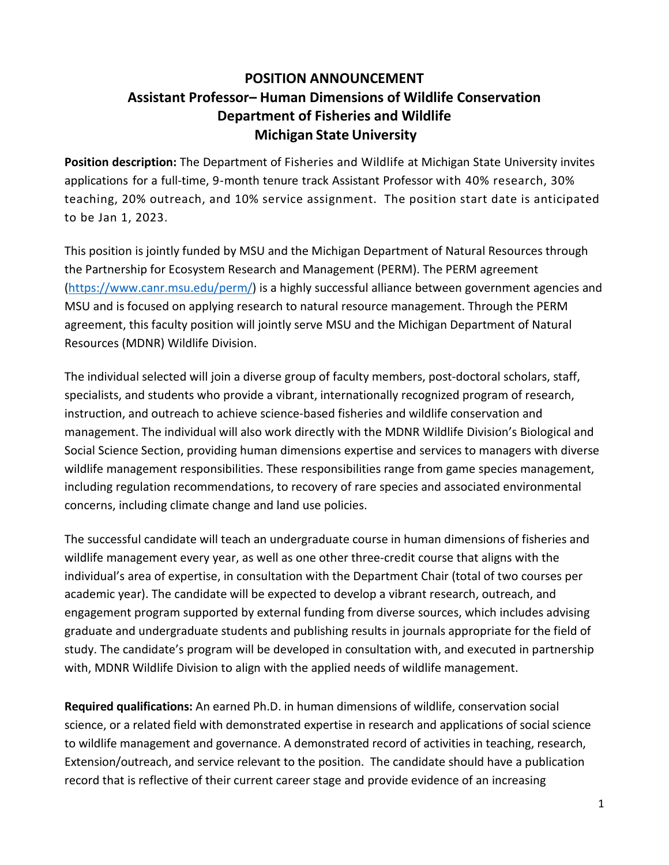## **POSITION ANNOUNCEMENT Assistant Professor– Human Dimensions of Wildlife Conservation Department of Fisheries and Wildlife Michigan State University**

**Position description:** The Department of Fisheries and Wildlife at Michigan State University invites applications for a full-time, 9-month tenure track Assistant Professor with 40% research, 30% teaching, 20% outreach, and 10% service assignment. The position start date is anticipated to be Jan 1, 2023.

This position is jointly funded by MSU and the Michigan Department of Natural Resources through the Partnership for Ecosystem Research and Management (PERM). The PERM agreement [\(https://www.canr.msu.edu/perm/\)](https://www.canr.msu.edu/perm/) is a highly successful alliance between government agencies and MSU and is focused on applying research to natural resource management. Through the PERM agreement, this faculty position will jointly serve MSU and the Michigan Department of Natural Resources (MDNR) Wildlife Division.

The individual selected will join a diverse group of faculty members, post-doctoral scholars, staff, specialists, and students who provide a vibrant, internationally recognized program of research, instruction, and outreach to achieve science-based fisheries and wildlife conservation and management. The individual will also work directly with the MDNR Wildlife Division's Biological and Social Science Section, providing human dimensions expertise and services to managers with diverse wildlife management responsibilities. These responsibilities range from game species management, including regulation recommendations, to recovery of rare species and associated environmental concerns, including climate change and land use policies.

The successful candidate will teach an undergraduate course in human dimensions of fisheries and wildlife management every year, as well as one other three-credit course that aligns with the individual's area of expertise, in consultation with the Department Chair (total of two courses per academic year). The candidate will be expected to develop a vibrant research, outreach, and engagement program supported by external funding from diverse sources, which includes advising graduate and undergraduate students and publishing results in journals appropriate for the field of study. The candidate's program will be developed in consultation with, and executed in partnership with, MDNR Wildlife Division to align with the applied needs of wildlife management.

**Required qualifications:** An earned Ph.D. in human dimensions of wildlife, conservation social science, or a related field with demonstrated expertise in research and applications of social science to wildlife management and governance. A demonstrated record of activities in teaching, research, Extension/outreach, and service relevant to the position. The candidate should have a publication record that is reflective of their current career stage and provide evidence of an increasing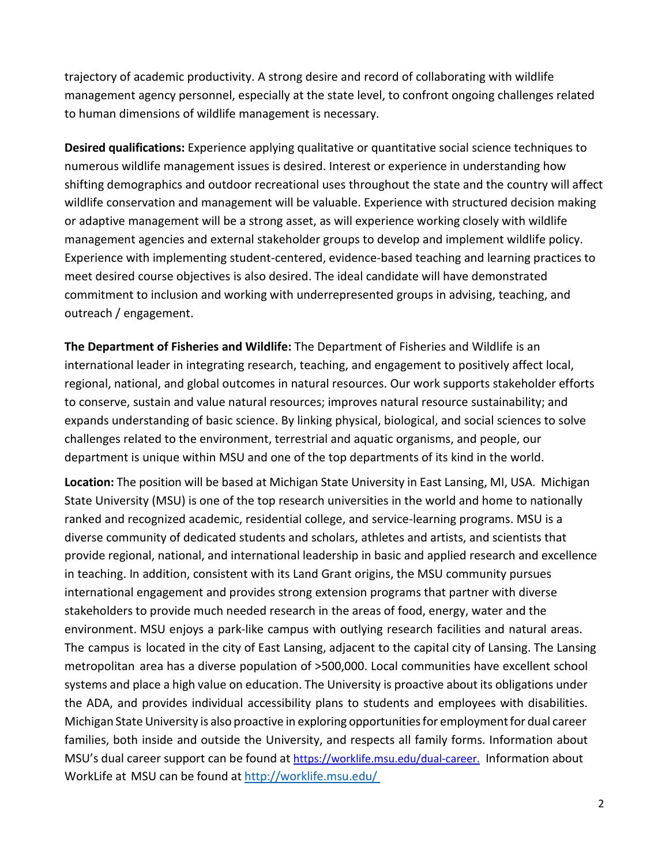trajectory of academic productivity. A strong desire and record of collaborating with wildlife management agency personnel, especially at the state level, to confront ongoing challenges related to human dimensions of wildlife management is necessary.

**Desired qualifications:** Experience applying qualitative or quantitative social science techniques to numerous wildlife management issues is desired. Interest or experience in understanding how shifting demographics and outdoor recreational uses throughout the state and the country will affect wildlife conservation and management will be valuable. Experience with structured decision making or adaptive management will be a strong asset, as will experience working closely with wildlife management agencies and external stakeholder groups to develop and implement wildlife policy. Experience with implementing student-centered, evidence-based teaching and learning practices to meet desired course objectives is also desired. The ideal candidate will have demonstrated commitment to inclusion and working with underrepresented groups in advising, teaching, and outreach / engagement.

**The Department of Fisheries and Wildlife:** The Department of Fisheries and Wildlife is an international leader in integrating research, teaching, and engagement to positively affect local, regional, national, and global outcomes in natural resources. Our work supports stakeholder efforts to conserve, sustain and value natural resources; improves natural resource sustainability; and expands understanding of basic science. By linking physical, biological, and social sciences to solve challenges related to the environment, terrestrial and aquatic organisms, and people, our department is unique within MSU and one of the top departments of its kind in the world.

**Location:** The position will be based at Michigan State University in East Lansing, MI, USA. Michigan State University (MSU) is one of the top research universities in the world and home to nationally ranked and recognized academic, residential college, and service-learning programs. MSU is a diverse community of dedicated students and scholars, athletes and artists, and scientists that provide regional, national, and international leadership in basic and applied research and excellence in teaching. In addition, consistent with its Land Grant origins, the MSU community pursues international engagement and provides strong extension programs that partner with diverse stakeholders to provide much needed research in the areas of food, energy, water and the environment. MSU enjoys a park‐like campus with outlying research facilities and natural areas. The campus is located in the city of East Lansing, adjacent to the capital city of Lansing. The Lansing metropolitan area has a diverse population of >500,000. Local communities have excellent school systems and place a high value on education. The University is proactive about its obligations under the ADA, and provides individual accessibility plans to students and employees with disabilities. Michigan State University is also proactive in exploring opportunitiesfor employmentfor dual career families, both inside and outside the University, and respects all family forms. Information about MSU's dual career support can be found at <https://worklife.msu.edu/dual-career.> Information about WorkLife at MSU can be found at <http://worklife.msu.edu/>